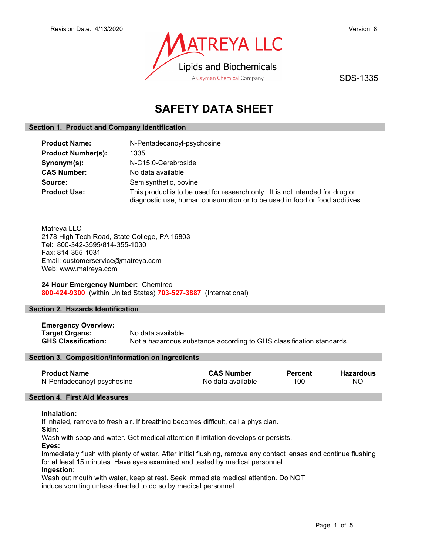

SDS-1335

# SAFETY DATA SHEET

# Section 1. Product and Company Identification

| <b>Product Name:</b>      | N-Pentadecanoyl-psychosine                                                                                                                                 |
|---------------------------|------------------------------------------------------------------------------------------------------------------------------------------------------------|
| <b>Product Number(s):</b> | 1335                                                                                                                                                       |
| Synonym(s):               | N-C15:0-Cerebroside                                                                                                                                        |
| <b>CAS Number:</b>        | No data available                                                                                                                                          |
| Source:                   | Semisynthetic, bovine                                                                                                                                      |
| <b>Product Use:</b>       | This product is to be used for research only. It is not intended for drug or<br>diagnostic use, human consumption or to be used in food or food additives. |

Matreya LLC 2178 High Tech Road, State College, PA 16803 Tel: 800-342-3595/814-355-1030 Fax: 814-355-1031 Email: customerservice@matreya.com Web: www.matreya.com

24 Hour Emergency Number: Chemtrec 800-424-9300 (within United States) 703-527-3887 (International)

# Section 2. Hazards Identification

Emergency Overview: Target Organs: No data available GHS Classification: Not a hazardous substance according to GHS classification standards.

# Section 3. Composition/Information on Ingredients

| <b>Product Name</b>        | <b>CAS Number</b> | <b>Percent</b> | <b>Hazardous</b> |
|----------------------------|-------------------|----------------|------------------|
| N-Pentadecanoyl-psychosine | No data available | 100            | NO.              |

# Section 4. First Aid Measures

## Inhalation:

If inhaled, remove to fresh air. If breathing becomes difficult, call a physician.

Skin:

Wash with soap and water. Get medical attention if irritation develops or persists.

Eyes:

Immediately flush with plenty of water. After initial flushing, remove any contact lenses and continue flushing for at least 15 minutes. Have eyes examined and tested by medical personnel.

# Ingestion:

Wash out mouth with water, keep at rest. Seek immediate medical attention. Do NOT induce vomiting unless directed to do so by medical personnel.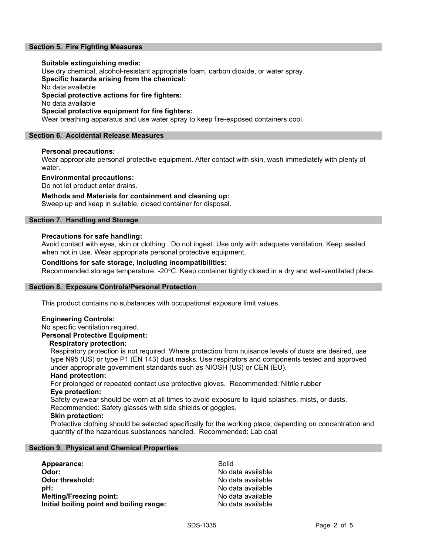# Section 5. Fire Fighting Measures

## Suitable extinguishing media:

Use dry chemical, alcohol-resistant appropriate foam, carbon dioxide, or water spray.

Specific hazards arising from the chemical:

No data available

Special protective actions for fire fighters:

No data available

# Special protective equipment for fire fighters:

Wear breathing apparatus and use water spray to keep fire-exposed containers cool.

# Section 6. Accidental Release Measures

# Personal precautions:

Wear appropriate personal protective equipment. After contact with skin, wash immediately with plenty of water.

## Environmental precautions:

Do not let product enter drains.

# Methods and Materials for containment and cleaning up:

Sweep up and keep in suitable, closed container for disposal.

# Section 7. Handling and Storage

# Precautions for safe handling:

Avoid contact with eyes, skin or clothing. Do not ingest. Use only with adequate ventilation. Keep sealed when not in use. Wear appropriate personal protective equipment.

# Conditions for safe storage, including incompatibilities:

Recommended storage temperature: -20°C. Keep container tightly closed in a dry and well-ventilated place.

# Section 8. Exposure Controls/Personal Protection

This product contains no substances with occupational exposure limit values.

# Engineering Controls:

No specific ventilation required.

# Personal Protective Equipment:

## Respiratory protection:

Respiratory protection is not required. Where protection from nuisance levels of dusts are desired, use type N95 (US) or type P1 (EN 143) dust masks. Use respirators and components tested and approved under appropriate government standards such as NIOSH (US) or CEN (EU).

## Hand protection:

For prolonged or repeated contact use protective gloves. Recommended: Nitrile rubber Eye protection:

Safety eyewear should be worn at all times to avoid exposure to liquid splashes, mists, or dusts. Recommended: Safety glasses with side shields or goggles.

# Skin protection:

Protective clothing should be selected specifically for the working place, depending on concentration and quantity of the hazardous substances handled. Recommended: Lab coat

# Section 9. Physical and Chemical Properties

| Appearance:                              | Solid             |
|------------------------------------------|-------------------|
| Odor:                                    | No data available |
| Odor threshold:                          | No data available |
| :bH                                      | No data available |
| <b>Melting/Freezing point:</b>           | No data available |
| Initial boiling point and boiling range: | No data available |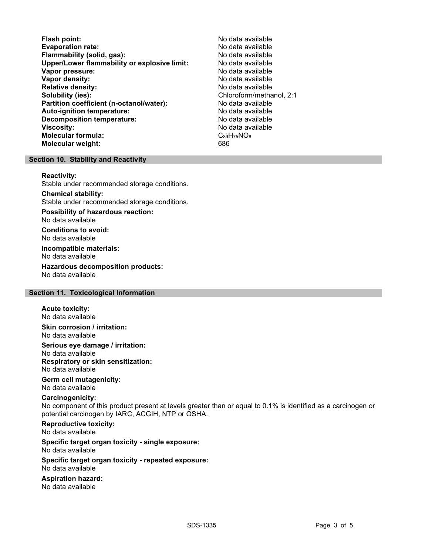- Flash point:<br>
Evaporation rate:<br>
Evaporation rate: No data available Evaporation rate: No data available Flammability (solid, gas): Upper/Lower flammability or explosive limit: No data available Vapor pressure: No data available **Vapor density:** No data available in the set of the set of the No data available Relative density: No data available Solubility (ies): Chloroform/methanol, 2:1 Partition coefficient (n-octanol/water): No data available Auto-ignition temperature:  $\begin{array}{ccc} \text{Auto-ignition temperature:} & \text{No data available} \end{array}$ Decomposition temperature: **Viscosity:** No data available in the set of the set of the set of the set of the set of the set of the set of the set of the set of the set of the set of the set of the set of the set of the set of the set of the set of t Molecular formula:  $C_{39}H_{75}NO_8$ <br>Molecular weight:  $686$ Molecular weight:
	-

# Section 10. Stability and Reactivity

#### Reactivity:

Stable under recommended storage conditions.

#### Chemical stability: Stable under recommended storage conditions.

Possibility of hazardous reaction: No data available

Conditions to avoid: No data available

Incompatible materials: No data available

Hazardous decomposition products: No data available

# Section 11. Toxicological Information

## Acute toxicity:

No data available

Skin corrosion / irritation: No data available

# Serious eye damage / irritation: No data available Respiratory or skin sensitization:

No data available

#### Germ cell mutagenicity: No data available

# Carcinogenicity:

No component of this product present at levels greater than or equal to 0.1% is identified as a carcinogen or potential carcinogen by IARC, ACGIH, NTP or OSHA.

## Reproductive toxicity: No data available

## Specific target organ toxicity - single exposure: No data available

## Specific target organ toxicity - repeated exposure: No data available

# Aspiration hazard: No data available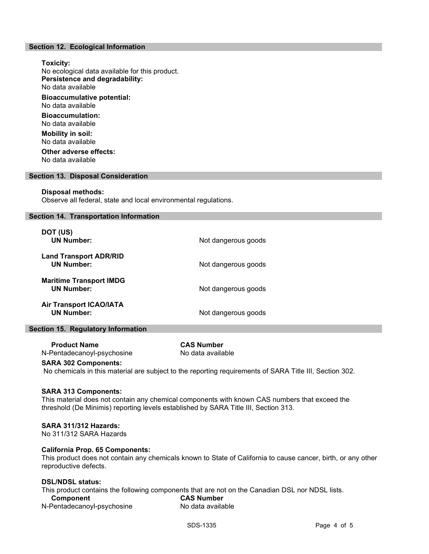# Section 12. Ecological Information

Toxicity: No ecological data available for this product. Persistence and degradability: No data available Bioaccumulative potential: No data available Bioaccumulation: No data available Mobility in soil: No data available Other adverse effects:

No data available

## Section 13. Disposal Consideration

#### Disposal methods:

Observe all federal, state and local environmental regulations.

## Section 14. Transportation Information

| DOT (US)<br><b>UN Number:</b>                       | Not dangerous goods |
|-----------------------------------------------------|---------------------|
| <b>Land Transport ADR/RID</b><br><b>UN Number:</b>  | Not dangerous goods |
| <b>Maritime Transport IMDG</b><br><b>UN Number:</b> | Not dangerous goods |
| <b>Air Transport ICAO/IATA</b><br><b>UN Number:</b> | Not dangerous goods |

## Section 15. Regulatory Information

 Product Name CAS Number N-Pentadecanoyl-psychosine No data available

## SARA 302 Components:

No chemicals in this material are subject to the reporting requirements of SARA Title III, Section 302.

## SARA 313 Components:

This material does not contain any chemical components with known CAS numbers that exceed the threshold (De Minimis) reporting levels established by SARA Title III, Section 313.

## SARA 311/312 Hazards:

No 311/312 SARA Hazards

# California Prop. 65 Components:

This product does not contain any chemicals known to State of California to cause cancer, birth, or any other reproductive defects.

# DSL/NDSL status:

This product contains the following components that are not on the Canadian DSL nor NDSL lists. Component CAS Number

| N-Pentadecanoyl-psychosine | No data available |
|----------------------------|-------------------|